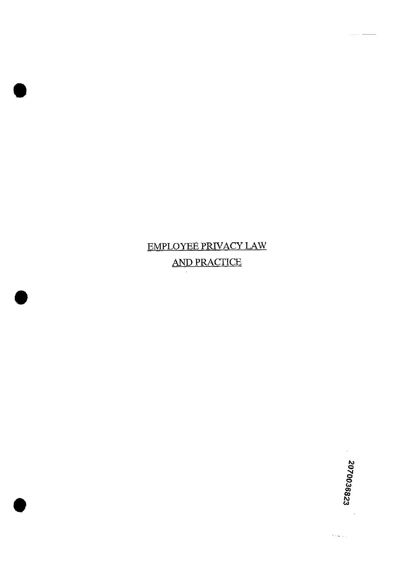# EMPLOYEE PRIVACY LAW AND PRACTICE

 $\gamma\sim\gamma_{\rm crit}$ 

. . . . .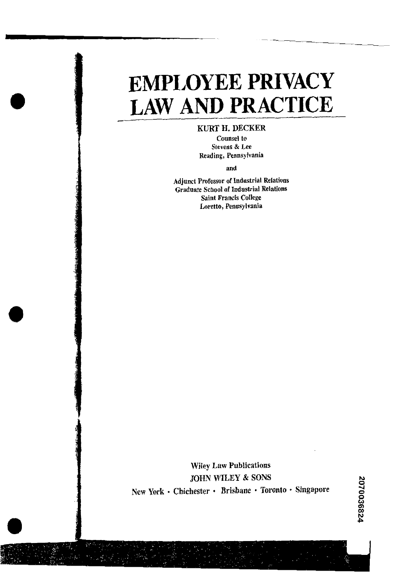# **EMPLOYEE PRIVACY LAW AND PRACTICE**

# **KURT H. DECKER**

**Counsel to Stevens** & **Lee Reading, Pennsylvania** 

**and** 

**Adjunct Professor of Industrial Relations Graduate School of Industriai Relations Saint Francis College Loretto, Pennsylvania** 

**Wiley Law Publications JOHN WILEY** & **SONS**  New York **· Chichester · Brisbane · Toronto · Singapore**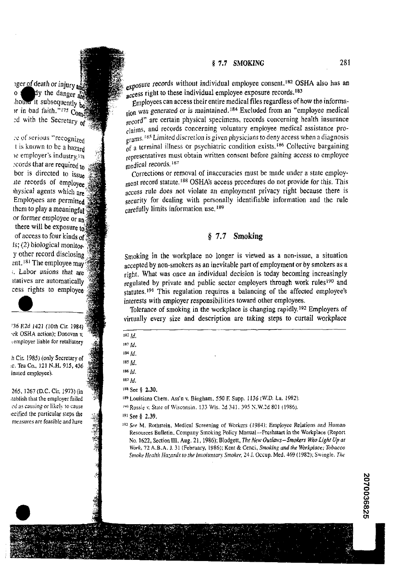# **1** 7.7 **SMOKING** 281

iger of death or injury and dy the danger are  $\mathbf{o}$ 

**:i. ol'** serious "recognized **I** is known to be a hazard le employer's industry.<sup>178</sup> :cords that are required to bor is directed to issue Jte records of employee ihysical agents which are Employees are permitted them to play a meaningful<sup>1</sup> or former employee or **an**  there will be exposure **6**  of access to four kinds of Is; (2) biological monitory other record disclosing ent.<sup>181</sup> The employee may : Labor unions that are rtatives are automatically cess rights to employee

**'36 R2d 1421 (10th Cir. 1984) ,rk OSHA** action): **Donovan v. ,employer liable for retaliatory** 

**h Cir. 1985) (only Secretary of**  *:c.* **Tea Co., 121 N.H. 915,436 inated employee).** 

265. 1267 (D.C. Cir. 1973) (in **,tablish that the employer failed**   $ed$  as causing or likely to cause ecified the particular steps the measures are feasible and have

exposure records without individual employee consent.<sup>182</sup> OSHA also has an secess right to these individual employee exposure records.<sup>183</sup>

Employees can access their entire medical files regardless of how the informahound it subsequently be expected.<br>The excluded files regardless of how the informa-<br>in bad faith."<sup>175</sup> Compared from was generated or is maintained.<sup>184</sup> Excluded from an "employee medical<br>ad with the Secretary of the s record" are certain physical specimens, records concerning health insurance .~,ims, and records concerning voluntary employee medical assistance pro- ..-  $\frac{1}{\text{grams}}$ .<sup>185</sup> Limited discretion is given physicians to deny access when a diagnosis of a terminal illness or psychiatric condition exists.<sup>186</sup> Collective bargaining representatives must obtain written consent before gaining access to employee medical records.<sup>187</sup>

corrections or removal of inaccuracies must be made under a state employment record statute.<sup>188</sup> OSHA's access procedures do not provide for this. This access rule does not violate an employment privacy right because there is security for dealing with personally identifiable information and the rule carefully limits information use, 189

# **1 7.7 Smoking**

smoking in the workplace no longer is viewed as a non-issue, a situation accepted by non-smokers as an inevitable part of employment or by smokers as a right. What was once an individual decision is today becoming increasingly regulated by private and public sector employers through work rules<sup>190</sup> and statutes.<sup>191</sup> This regulation requires a balancing of the affected employee's interests with employer responsibilities toward other employees.

Tolerance of smoking in the workplace is changing rapidly.192 Employers of virtually every size and description are taking steps to curtail workplace interests<br>Tolera:<br>virtually<br>182 Id.

| 182 Id.              |  |
|----------------------|--|
| $183$ Id.            |  |
| $184 \, \text{Id}$ . |  |
| $185$ $Id.$          |  |
| 186 7 7              |  |

**'86** *Id.* 

#### **See** *8* **2.30.**

**189 Louisiana Chem. Ass'n v. Bingham. 550** F: **Supp. 1136 (WD. La. 1982). Is'' Rossic** \: **Stale** of Wisconsin. **133 Wis. ?d 3.11.** 395 **S.W.?d 801 (1986).** 

**19'See 5 2.39.** 

**<sup>18&#</sup>x27; M.** 

**<sup>&#</sup>x27;92 See M. Rothstein, Medical Screening of Workers** (19841: **Employee Relafions and Human Resources Bulletin. Company Smoking Policy Manual-Freshstar! in the Workplace (Report No. 1622,** Section III, **Aug. 21, 1986); Blodgett, The** *New* **Outlaas-Smokers** Wo **Light** *Upal*  **1Vork. 72 A.B.A. I. 31 (February. 1986); Kent** & **Cenci. Smoking** *arid the Hbrkplacc: Tobacco Snroke* **Hralf11 Hu:nrds to rhe In~olunrar~** *Snroker,* **24** J, **Occup. Med. 169 (IPS?); Swingle.** Tfic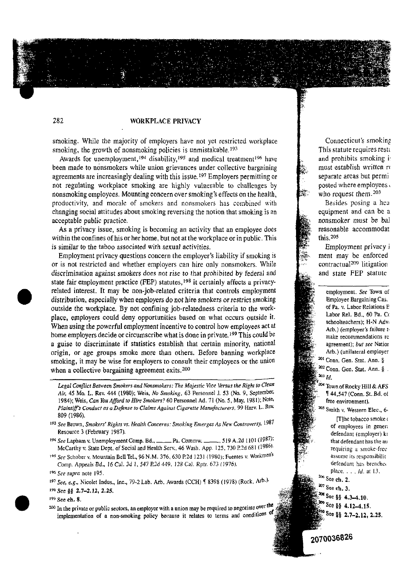# **282 WORKPLACE PRIVACY**

smoking. While the majority of employers have not yet restricted workplace smoking, the growth of nonsmoking policies is unmistakable.<sup>193</sup>

Awards for unemployment,<sup>194</sup> disability,<sup>195</sup> and medical treatment<sup>196</sup> have been made to nonsmokers while union grievances under collective bargaining agreements are increasingly dealing with this issue.<sup>197</sup> Employers permitting or not regulating workplace smoking are highly vulnerable to challenges by nonsmoking employees. Mounting concern over smoking's effects on the health, productivity, and morale of smokers and nonsmokers has combined with changing social attitudes about smoking reversing the notion that smoking is an acceptable public practice.

**As** a privacy issue, smoking is becoming an activity that an employee does within the confines of his or her home, but not at the workplace or in public. This is similar to the taboo associated with sexual activities.

Employment privacy questions concern the employer's liability if smoking is or is not restricted and whether employers can hire only nonsmokers. While discrimination against smokers does not rise to that prohibited by federal and state fair employment practice (FEP) statutes,<sup>198</sup> it certainly affects a privacyrelated interest. It may be non-job-related criteria that controls employment distribution, especially when employers do not hire smokers or restrict smoking outside the workplace. By not confining job-relatedness criteria to the workplace, employers could deny opportunities based on what occurs outside it. When using the powerful employment incentive to control how employees act at home employers decide or circumscribe what is done in private.<sup>199</sup> This could be a guise to discriminate if statistics establish that certain minority, national origin, or age groups smoke more than others. Before banning workplace smoking, it may be wise for employers to consult their employees or the union when a collective bargaining agreement exits.<sup>200</sup>

- **Legal Conflict Between Smokers and Nonsmokers: The Majestic Vice Versus the Right to Clean Air,** 45 Mo. **L.** Rev. 444 (1980); Weis, **No Smoking,** 63 Personnel **J.** 53 (No. 9, September, 1984); Weis. **Can You** *Agord* **to** *Hiw* **Smokers?** 60 Personnel **Ad.** 7 1 (No. **5,** May. 198 1): Note, **Plaintiffs Conducr as aaefense** *ro* **Claims Against Cigarette Martrrfacfurers.** 99 Harv. L. **Rev.**  809 (1986). 1984); Weis, *Can You Afford to Hire Smokers*? 60 Personnel Ad. 71 (No. 5, May, 1981); Note,<br> *Plaintiff's Conduct as a Defense to Claims Against Cigarette Manufacturers*, 99 Harv. L. Rev.<br>
809 (1986).<br>
<sup>93</sup> See Brown, *Sm*
- **<sup>19</sup>' See** Brown. **Smokers' Righrs vs. Health Concerns: Smoking Emerges As Nen, Controversy.**  Resource 3 (February 1987).
- McCarthy v. State Dept. of Social and Health Serv., 46 Wash. App. 125, 730 P.2d 681 (1986).
- 195 See Schober v. Mountain Bell Tel., 96 N.M. 376, 630 P.2d 1231 (1980); Fuentes v. Workmen's Comp. Appeals *Bd.*, 16 Cal. 3d 1, 547 *P.2d 449*, 128 Cal. Rptr. 673 (1976). **Comp. Appeals** *Bd.* 16 Cal. 3d 1, 547 *P.2d 449*, 128 Cal. Rptr. 673 (1976). See supra note 195.<br>See supra note 195.

**'98See 06 2.7-2.12, 2.25.** 

<sup>200</sup> In the private or public sectors, an employer with a union may be required to negotiate over the implementation of a non-smoking policy because it relates to terms and conditions of

Connecticut's smokinp This statute requires rest; and prohibits smoking i, must establish written re separate areas but permi posted where employees who request them.<sup>203</sup>

Besides posing a hea equipment and can be a nonsmoker must be bal reasonable accommodat<br>this.<sup>205</sup>

Employment privacy i ment may be enforced contractual<sup>209</sup> litigation and state FEP statute

employment. **See** Town of Employee Bargaining Cas. of Pa. **v.** Labor Relations **E**  Labor Rel. Bd., 60 Pa. Co schoolteachers); H-N Advi Arb.) (employer's *fsilure* r, : make recommendations re .. agreement); bur **see** Natior Arb.) (unilateral employer <sup>201</sup> Conn. Gen. Stat. Ann. §

<sup>202</sup> Conn, Gen, Stat, Ann. §.  $203$  Id.

<sup>304</sup> Town of Rocky Hill & AFS **1** 44,547 (Conn. St. Bd. ot

Smith **v.** Western Elec., 6. [T]he tobacco smoke ( of employees in gener; defendant (employer) ki that defendant has the au requiring a smoke-free assume its responsibilit

- 207 See ch. 3.
- 
- $\frac{208}{100}$  See §§ 4.3–4.10.  $\frac{209}{3}$  See §§ 4.12-4.15.
- 
- $\frac{210}{35}$  See §§ 2.7-2.12, 2.25.



<sup>&</sup>lt;sup>197</sup> See, e.g., Nicolet Indus., Inc., 79-2 Lab. Arb. Awards (CCH) 1 8398 (1978) (Rock, Arb.<sup>)</sup>

**<sup>1%</sup> See ch.** 8.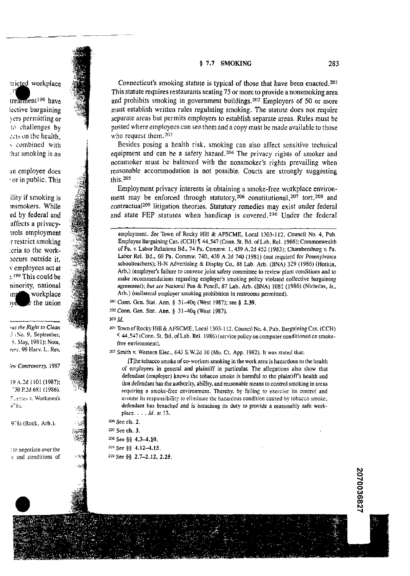#### **5 7.7 SMOKING** 283

# tricted workplace

treatment<sup>196</sup> have lective bargaining vers permitting or to challenges by :: cuts on the health, combined with :hat smoking is an

an employee does or in public. This

ility if smoking is msmokers. While ed by federal and affects a privacyrrols employment r restrict smoking :eria to the work-Jccurs outside it. v employees act at  $\cdot$ .  $^{199}$  This could be ninority, national workplace łn the union

**?ids** rhr **Right** to *Clem*  . **\$So.** 9, September, *5.* Hay, 1981); Note, *rrrs.* 99 Harv. L. **Rev.** 

lew Controversy, 1987

19.4.2d 1101 (1987); -30 P.2d 681 (1986). **C.**-::2s v. Workmen's 9-61.

9761 (Rock, Arb.).

: **(il** negotiate over the **<sup>5</sup>**and conditions of

Connecticut's smoking statute is typical of those that have been enacted.201 This statute requires restaurants seating75 or more to provide a nonsmoking area and prohibits smoking in government buildings.202 Employers **d SO** or more must establish written rules regulating smoking. The statute does not require separate areas but permits employers to establish separate areas. Rules must be posted where employees can see them and a copy must be made available to those who request them. $203$ 

Besides posing a health risk, smoking can also affect sensitive technical equipment and can be a safety hazard.<sup>204</sup> The privacy rights of smoker and nonsmoker must be balanced with the nonsmoker's rights prevailing when reasonable accommodation is not possible. Courts are strongly suggesting this.205

Employment privacy interests in obtaining a smoke-free workplace environment may be enforced through statutory,  $206$  constitutional,  $207$  tort,  $208$  and contractual2o9 litigation theories. Statutory remedies may exist under federal and state FEP statutes when handicap is covered.210 Under the federal

<sup>201</sup> Conn. Gen. Stat. Ann. § 31-40q (West 1987); see § 2.39.

2O2Conn. Gen. Stat. Ann. *8* 31-40q (West 1987).

203 *Id.* 

TownofRocky Hill & AFSCME. Local 1303-1 12. Council No. **4.** Pub. Bargaining Cas. (CCH) '; 44.517 tConn. St. Bd. of Lab. Rel. 1986) (service policy oncomputer conditioned on smokefree environment).

205 Smith **v.** Western Elec., 643 S.W.2d 10 (Mo. Ct. App. 1982). It was stated that:

[Tlhe tobacco smoke of co-workers smoking in the work area is hazardous to the health of employees in general and plaintiff in particular. The allegations also show that defendant (employer) knows the tobacco smoke is harmful to the plaintiff's health and chat defendant has the authority, ability, and reasonable means lo controlsmoking in areas requiring a smoke-free environment. Thereby, by failing to exercise its control and assume its responsibility to eliminate the hazardous condition caused by tobacco smoke. defendant has breached and is breaching its duty to provide a reasonably safe workplace. . . . *Id. ar* 13.

| <sup>206</sup> See ch. 2. |                                       |
|---------------------------|---------------------------------------|
| <sup>207</sup> See ch. 3. |                                       |
|                           | $208$ See §§ 4,3-4,10,                |
|                           | <sup>209</sup> See §§ 4.12-4.15.      |
|                           | <sup>210</sup> See §§ 2.7-2.12, 2.25. |

employment. *See* Town of Rocky Hill & AFSCME. Local 1303-112, Council No. **4,** Pub. Employee Bargaining Cas. (CCH) **7 44,547** (Conn. St. Bd. of Lab. Rel. 1986); Commonwealth of Pa. v. Labor Relations Bd., **74** Pa. Commw. 1,459 A.2d **452** (1983); Chambersburg v. Pa. Labor Rel. Bd., 60 Pa. Commw. 740. **430** A.2d **740** (1981) (not requircd for Pennsylvania schoolteachers); H-N Advertising & Display Co., 88 Lab. Arb. (BNA) 329 (1986) (Heekin, Arb.) (employer's failure to convene joint safety committee to review plant conditions and to make recommendations regarding employer's smoking policy violated collective bargaining agreement); bur see National Pen & Pencil, 87 Lab. **Arb.** (BNA) 1081 (1986) (Nicholas, **Jr.,**  Arb.) (unilateral employer smoking prohibition in restrooms permitted).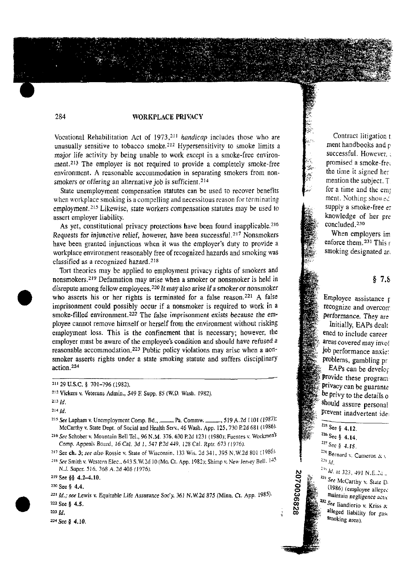#### **284 WORKPLACE PRIVACY**

Vocational Rehabilitation Act of 1973,<sup>211</sup> *handicap* includes those who are unusually sensitive to tobacco smoke.<sup>212</sup> Hypersensitivity to smoke limits a major life activity by being unable to work except in a smoke-free environment.<sup>213</sup> The employer is not required to provide a completely smoke-free environment. A reasonable accommodation in separating smokers from nonsmokers or offering an alternative job is sufficient.<sup>214</sup>

State unemployment compensation statutes can be used to recover benefits when workplace smoking is a compelling and necessitous reason for terminating employment.<sup>215</sup> Likewise, state workers compensation statutes may be used to assert employer liability.

As yet, constitutional privacy protections have been found inapplicable.<sup>216</sup> Requests for injunctive relief, however, have been successful.<sup>217</sup> Nonsmokers have been granted injunctions when it was the employer's duty to provide a workplace environment reasonably free of recognized hazards and smoking was classified as a recognized hazard. $218$ 

Tort theories may be applied to employment privacy rights of smokers and nonsmokers.<sup>219</sup> Defamation may arise when a smoker or nonsmoker is held in disrepute among feIlow employees.'20It may also arise **ifa smoker** or nonsmoker who asserts his or her rights is terminated for a false reason.<sup>221</sup> A false imprisonment could possibly occur if a nonsmoker is required to work in a smoke-filled environment.<sup>222</sup> The false imprisonment exists because the employee cannot remove himself or herself from the environment without risking employment loss. This is the confinement that is necessary; however, the employer must be aware of the employee's condition and should have refused **a**  reasonable accommodation.223 Public policy violations may arise when a nonsmoker asserts rights under a state smoking statute and suffers disciplinary action.224

<sup>215</sup> See Lapham v. Unemployment Comp. Bd., \_\_\_\_\_ Pa. Commw. \_\_\_\_\_, 519 **A.2d** 1101 (1987): McCarthy **v.** State Dept. **of** Sacial and Health Serv.. 46 Wash. App. 125,730 **R2d** 681 (1986),

<sup>216</sup> See Schober v. Mountain Bell Tel., 96 N.M. 376, 630 P.2d 1231 (1980); Fuentes v. Workmen<sup>'s</sup> Comp. Appeals Board, 16 Cal. 3d 1, 547 P.2d 449, 128 Cal. Rptr. 673 (1976).

<sup>217</sup> See ch. 3; *see also* Rossie v. State of Wisconsin. 133 Wis. 2d 341, 395 N.W.2d 801 (1986).

<sup>218</sup> See Smith v. Western Elec., 643 S.W.2d 10 (Mo. Ct. App. 1982); Shimp v. New Jersey Bell. <sup>145</sup> N.I. Supcr. 516. 368 **A.?d** 408 (1976).

**2'9 See 85 4.2-4.10.** 

**<sup>224</sup>**See *8* 4.10.

Contract litigation t ment handbooks and **p**  successful. However. : promised a smoke-frec. the time it signed her mention the subject. T for a time and the emp ment. Nothing showed supply a smoke-free er knowledge of her pre concluded.<sup>230</sup>

When employers im enforce them.<sup>231</sup> This r smoking designated ar,

## $§ 7.8$

Employee assistance r recognize and overcom performance. They are Initially, EAPs dealt eaed to include career areas covered may invol job performance anxie: problems, gambling pr

EAPs can be develop provide these program. privacy can be guarante be privy to the details o should assure personal prevent inadvertent ide:

 $225$  See § 4.12.



**<sup>1&</sup>quot; 29** U.S.C. **5** 701-796 (1982).

**<sup>\*</sup>I2** Vickers **v.** Veterans Admin., 549 **E Supp.** *85* **(WD.** Wash. **1982).** 

**<sup>2&#</sup>x27;3 id.** 

**<sup>214</sup>**Id.

<sup>220</sup> See § 4.4.

**<sup>221</sup>**Id.: **see** Lewis **v.** Equitable Life Assurance Soc'y. 361 **N.W.2d** 875 (Minn. Ct. **App.** 19851. **<sup>222</sup>**See *0* **4.5.** 

**<sup>223</sup>**Id.

 $^{226}$  See § 4.14.<br> $^{227}$  See § 4.15.

<sup>&</sup>lt;sup>228</sup> Bernard **v**, **Cameron** & **v au** *Id,* 

No.  $\frac{23i}{231}$  *Id.* at 323, 491 N.E.2i ...<br>  $\frac{231}{231}$  See McCarthy v. State D.<br>
(1986) (employee alleged maintain negligence active maintain negligence active maintain negligence active sets. **<sup>23</sup>I** *See* McCarrhy **v.** Statr D, (1986) (employee alleged maintain negligence *actic* **Pallent See Exercise Active**<br> **Azz** See Ilandiorio **v.** Kriss &<br> **alleged liability for gast**<br> **Strobbe Smoking** area).